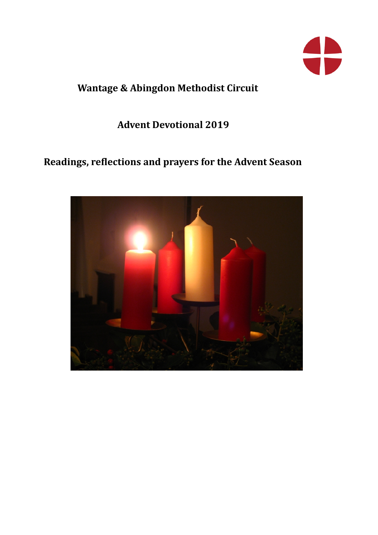

# **Wantage & Abingdon Methodist Circuit**

# **Advent Devotional 2019**

# Readings, reflections and prayers for the Advent Season

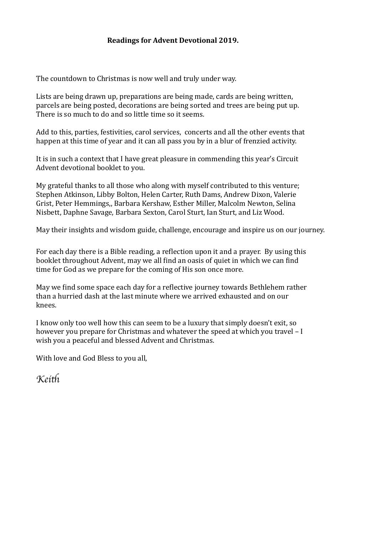#### **Readings for Advent Devotional 2019.**

The countdown to Christmas is now well and truly under way.

Lists are being drawn up, preparations are being made, cards are being written, parcels are being posted, decorations are being sorted and trees are being put up. There is so much to do and so little time so it seems.

Add to this, parties, festivities, carol services, concerts and all the other events that happen at this time of year and it can all pass you by in a blur of frenzied activity.

It is in such a context that I have great pleasure in commending this year's Circuit Advent devotional booklet to you.

My grateful thanks to all those who along with myself contributed to this venture; Stephen Atkinson, Libby Bolton, Helen Carter, Ruth Dams, Andrew Dixon, Valerie Grist, Peter Hemmings., Barbara Kershaw, Esther Miller, Malcolm Newton, Selina Nisbett, Daphne Savage, Barbara Sexton, Carol Sturt, Ian Sturt, and Liz Wood.

May their insights and wisdom guide, challenge, encourage and inspire us on our journey.

For each day there is a Bible reading, a reflection upon it and a prayer. By using this booklet throughout Advent, may we all find an oasis of quiet in which we can find time for God as we prepare for the coming of His son once more.

May we find some space each day for a reflective journey towards Bethlehem rather than a hurried dash at the last minute where we arrived exhausted and on our knees. 

I know only too well how this can seem to be a luxury that simply doesn't exit, so however you prepare for Christmas and whatever the speed at which you travel  $-I$ wish you a peaceful and blessed Advent and Christmas.

With love and God Bless to you all,

*Kei*t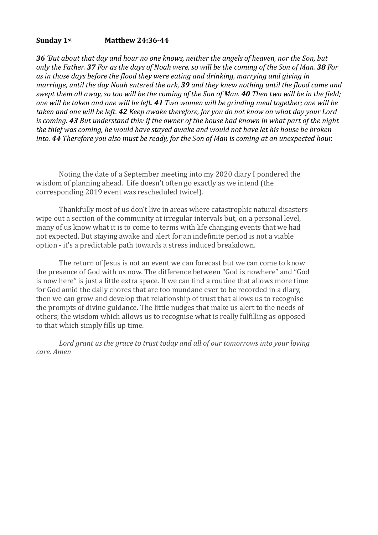#### **Sunday 1st Matthew 24:36-44**

**36** 'But about that day and hour no one knows, neither the angels of heaven, nor the Son, but *only* the Father. 37 For as the days of Noah were, so will be the coming of the Son of Man. 38 For as in those days before the flood they were eating and drinking, marrying and giving in *marriage, until the day Noah entered the ark, 39 and they knew nothing until the flood came and swept them all away, so too will be the coming of the Son of Man.* **40** *Then two will be in the field; one* will be taken and one will be left. **41** Two women will be arinding meal together; one will be taken and one will be left. **42** *Keep* awake therefore, for you do not know on what day your Lord *is* coming. **43** But understand this: if the owner of the house had known in what part of the night the thief was coming, he would have stayed awake and would not have let his house be broken *into.* **44** *Therefore you also must be ready, for the Son of Man is coming at an unexpected hour.* 

Noting the date of a September meeting into my 2020 diary I pondered the wisdom of planning ahead. Life doesn't often go exactly as we intend (the corresponding 2019 event was rescheduled twice!).

Thankfully most of us don't live in areas where catastrophic natural disasters wipe out a section of the community at irregular intervals but, on a personal level, many of us know what it is to come to terms with life changing events that we had not expected. But staying awake and alert for an indefinite period is not a viable option - it's a predictable path towards a stress induced breakdown.

The return of lesus is not an event we can forecast but we can come to know the presence of God with us now. The difference between "God is nowhere" and "God is now here" is just a little extra space. If we can find a routine that allows more time for God amid the daily chores that are too mundane ever to be recorded in a diary, then we can grow and develop that relationship of trust that allows us to recognise the prompts of divine guidance. The little nudges that make us alert to the needs of others; the wisdom which allows us to recognise what is really fulfilling as opposed to that which simply fills up time.

Lord grant us the grace to trust today and all of our tomorrows into your loving *care. Amen*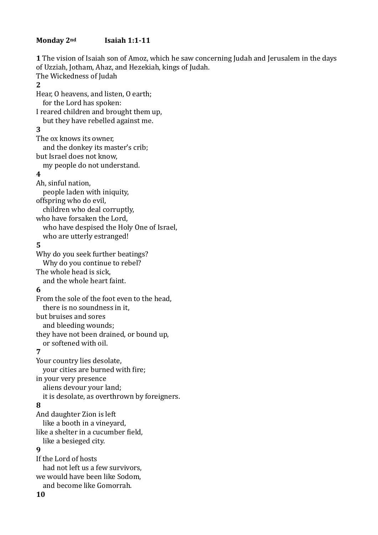#### Monday 2<sup>nd</sup> **Isaiah 1:1-11**

**1** The vision of Isaiah son of Amoz, which he saw concerning Judah and Jerusalem in the days of Uzziah, Jotham, Ahaz, and Hezekiah, kings of Judah. The Wickedness of Judah **2**  Hear, O heavens, and listen, O earth; for the Lord has spoken: I reared children and brought them up, but they have rebelled against me. **3**  The ox knows its owner, and the donkey its master's crib; but Israel does not know, my people do not understand. **4**  Ah, sinful nation, people laden with iniquity, offspring who do evil, children who deal corruptly. who have forsaken the Lord, who have despised the Holy One of Israel, who are utterly estranged! **5**  Why do you seek further beatings? Why do you continue to rebel? The whole head is sick, and the whole heart faint. **6**  From the sole of the foot even to the head, there is no soundness in it. but bruises and sores and bleeding wounds; they have not been drained, or bound up, or softened with oil. **7**  Your country lies desolate, your cities are burned with fire; in your very presence aliens devour your land; it is desolate, as overthrown by foreigners. **8**  And daughter Zion is left like a booth in a vineyard, like a shelter in a cucumber field, like a besieged city. **9** If the Lord of hosts had not left us a few survivors, we would have been like Sodom, and become like Gomorrah. 

**10**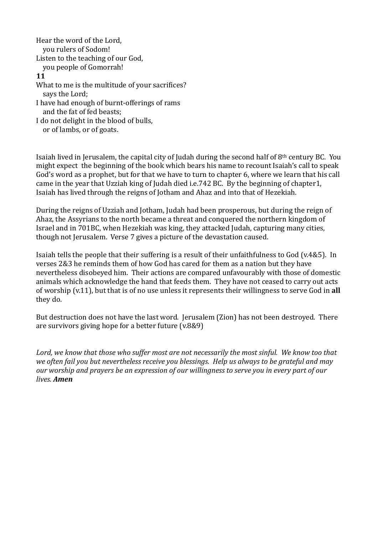Hear the word of the Lord. you rulers of Sodom! Listen to the teaching of our God, you people of Gomorrah! **11**  What to me is the multitude of your sacrifices? says the Lord; I have had enough of burnt-offerings of rams and the fat of fed beasts: I do not delight in the blood of bulls, or of lambs, or of goats.

Isaiah lived in Jerusalem, the capital city of Judah during the second half of  $8<sup>th</sup>$  century BC. You might expect the beginning of the book which bears his name to recount Isaiah's call to speak God's word as a prophet, but for that we have to turn to chapter 6, where we learn that his call came in the year that Uzziah king of Judah died i.e.742 BC. By the beginning of chapter1, Isaiah has lived through the reigns of Jotham and Ahaz and into that of Hezekiah.

During the reigns of Uzziah and Jotham, Judah had been prosperous, but during the reign of Ahaz, the Assyrians to the north became a threat and conquered the northern kingdom of Israel and in 701BC, when Hezekiah was king, they attacked Judah, capturing many cities, though not Jerusalem. Verse 7 gives a picture of the devastation caused.

Isaiah tells the people that their suffering is a result of their unfaithfulness to God (v.4&5). In verses  $2&3$  he reminds them of how God has cared for them as a nation but they have nevertheless disobeyed him. Their actions are compared unfavourably with those of domestic animals which acknowledge the hand that feeds them. They have not ceased to carry out acts of worship (v.11), but that is of no use unless it represents their willingness to serve God in all they do.

But destruction does not have the last word. Jerusalem (Zion) has not been destroyed. There are survivors giving hope for a better future  $(v.8&9)$ 

Lord, we know that those who suffer most are not necessarily the most sinful. We know too that we often fail you but nevertheless receive you blessings. Help us always to be grateful and may *our* worship and prayers be an expression of our willingness to serve you in every part of our *lives. Amen*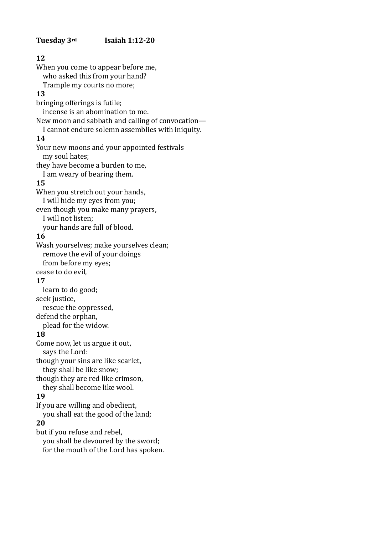#### **12**  When you come to appear before me, who asked this from your hand? Trample my courts no more; **13**  bringing offerings is futile: incense is an abomination to me. New moon and sabbath and calling of convocation— I cannot endure solemn assemblies with iniquity. **14**  Your new moons and your appointed festivals my soul hates; they have become a burden to me, I am weary of bearing them. **15**  When you stretch out your hands, I will hide my eyes from you; even though you make many prayers, I will not listen; your hands are full of blood. **16**  Wash yourselves; make yourselves clean; remove the evil of your doings from before my eyes; cease to do evil, **17**  learn to do good: seek justice, rescue the oppressed, defend the orphan, plead for the widow. **18**  Come now, let us argue it out, says the Lord: though your sins are like scarlet. they shall be like snow; though they are red like crimson, they shall become like wool. **19**  If you are willing and obedient, you shall eat the good of the land; **20**

but if you refuse and rebel,

you shall be devoured by the sword;

for the mouth of the Lord has spoken.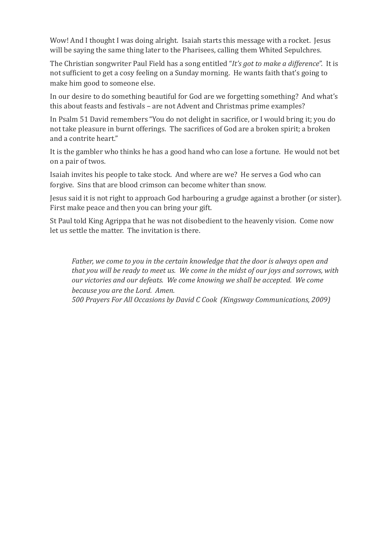Wow! And I thought I was doing alright. Isaiah starts this message with a rocket. Jesus will be saying the same thing later to the Pharisees, calling them Whited Sepulchres.

The Christian songwriter Paul Field has a song entitled "*It's got to make a difference*". It is not sufficient to get a cosy feeling on a Sunday morning. He wants faith that's going to make him good to someone else.

In our desire to do something beautiful for God are we forgetting something? And what's this about feasts and festivals – are not Advent and Christmas prime examples?

In Psalm 51 David remembers "You do not delight in sacrifice, or I would bring it; you do not take pleasure in burnt offerings. The sacrifices of God are a broken spirit; a broken and a contrite heart."

It is the gambler who thinks he has a good hand who can lose a fortune. He would not bet on a pair of twos.

Isaiah invites his people to take stock. And where are we? He serves a God who can forgive. Sins that are blood crimson can become whiter than snow.

Lesus said it is not right to approach God harbouring a grudge against a brother (or sister). First make peace and then you can bring your gift.

St Paul told King Agrippa that he was not disobedient to the heavenly vision. Come now let us settle the matter. The invitation is there.

Father, we come to you in the certain knowledge that the door is always open and *that* you will be ready to meet us. We come in the midst of our joys and sorrows, with *our victories and our defeats.* We come knowing we shall be accepted. We come *because you are the Lord. Amen.* 

*500 Prayers For All Occasions by David C Cook (Kingsway Communications, 2009)*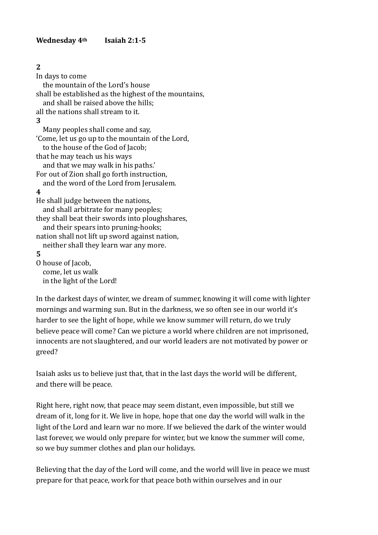# **2**

In days to come the mountain of the Lord's house shall be established as the highest of the mountains, and shall be raised above the hills: all the nations shall stream to it. **3**  Many peoples shall come and say. 'Come, let us go up to the mountain of the Lord, to the house of the God of Jacob; that he may teach us his ways and that we may walk in his paths.' For out of Zion shall go forth instruction, and the word of the Lord from Jerusalem. **4**  He shall judge between the nations, and shall arbitrate for many peoples; they shall beat their swords into ploughshares, and their spears into pruning-hooks; nation shall not lift up sword against nation, neither shall they learn war any more. **5**  O house of Jacob. come, let us walk in the light of the Lord!

In the darkest days of winter, we dream of summer, knowing it will come with lighter mornings and warming sun. But in the darkness, we so often see in our world it's harder to see the light of hope, while we know summer will return, do we truly believe peace will come? Can we picture a world where children are not imprisoned, innocents are not slaughtered, and our world leaders are not motivated by power or greed? 

Isaiah asks us to believe just that, that in the last days the world will be different, and there will be peace.

Right here, right now, that peace may seem distant, even impossible, but still we dream of it, long for it. We live in hope, hope that one day the world will walk in the light of the Lord and learn war no more. If we believed the dark of the winter would last forever, we would only prepare for winter, but we know the summer will come, so we buy summer clothes and plan our holidays.

Believing that the day of the Lord will come, and the world will live in peace we must prepare for that peace, work for that peace both within ourselves and in our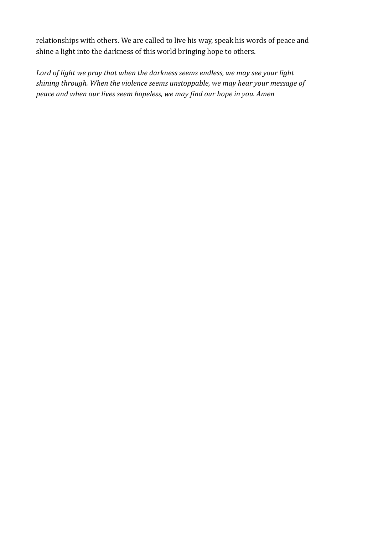relationships with others. We are called to live his way, speak his words of peace and shine a light into the darkness of this world bringing hope to others.

Lord of light we pray that when the darkness seems endless, we may see your light shining through. When the violence seems unstoppable, we may hear your message of *peace and when our lives seem hopeless, we may find our hope in you. Amen*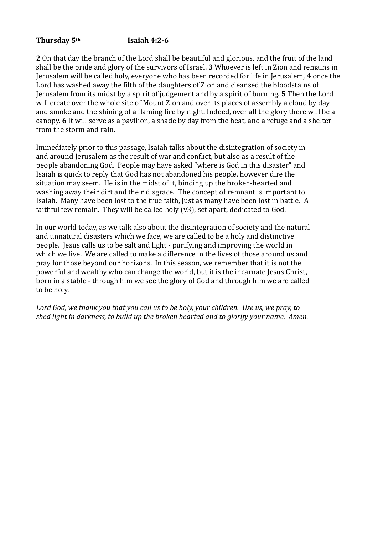#### Thursday 5<sup>th</sup> **Isaiah 4:2-6**

**2** On that day the branch of the Lord shall be beautiful and glorious, and the fruit of the land shall be the pride and glory of the survivors of Israel. **3** Whoever is left in Zion and remains in Jerusalem will be called holy, everyone who has been recorded for life in Jerusalem, **4** once the Lord has washed away the filth of the daughters of Zion and cleansed the bloodstains of Jerusalem from its midst by a spirit of judgement and by a spirit of burning. **5** Then the Lord will create over the whole site of Mount Zion and over its places of assembly a cloud by day and smoke and the shining of a flaming fire by night. Indeed, over all the glory there will be a canopy. 6 It will serve as a pavilion, a shade by day from the heat, and a refuge and a shelter from the storm and rain.

Immediately prior to this passage, Isaiah talks about the disintegration of society in and around Jerusalem as the result of war and conflict, but also as a result of the people abandoning God. People may have asked "where is God in this disaster" and Isaiah is quick to reply that God has not abandoned his people, however dire the situation may seem. He is in the midst of it, binding up the broken-hearted and washing away their dirt and their disgrace. The concept of remnant is important to Isaiah. Many have been lost to the true faith, just as many have been lost in battle. A faithful few remain. They will be called holy  $(v3)$ , set apart, dedicated to God.

In our world today, as we talk also about the disintegration of society and the natural and unnatural disasters which we face, we are called to be a holy and distinctive people. Jesus calls us to be salt and light - purifying and improving the world in which we live. We are called to make a difference in the lives of those around us and pray for those beyond our horizons. In this season, we remember that it is not the powerful and wealthy who can change the world, but it is the incarnate Jesus Christ, born in a stable - through him we see the glory of God and through him we are called to be holy.

Lord God, we thank you that you call us to be holy, your children. Use us, we pray, to shed light in darkness, to build up the broken hearted and to glorify your name. Amen.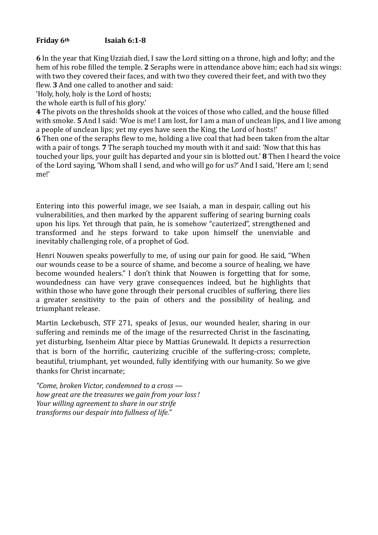#### **Friday 6th Isaiah 6:1-8**

**6** In the year that King Uzziah died, I saw the Lord sitting on a throne, high and lofty; and the hem of his robe filled the temple. **2** Seraphs were in attendance above him; each had six wings: with two they covered their faces, and with two they covered their feet, and with two they flew. **3** And one called to another and said:

'Holy, holy, holy is the Lord of hosts;

the whole earth is full of his glory.'

**4** The pivots on the thresholds shook at the voices of those who called, and the house filled with smoke. **5** And I said: 'Woe is me! I am lost, for I am a man of unclean lips, and I live among a people of unclean lips; vet my eves have seen the King, the Lord of hosts!'

**6** Then one of the seraphs flew to me, holding a live coal that had been taken from the altar with a pair of tongs. **7** The seraph touched my mouth with it and said: 'Now that this has touched your lips, your guilt has departed and your sin is blotted out.' **8** Then I heard the voice of the Lord saying, 'Whom shall I send, and who will go for us?' And I said, 'Here am I; send me!' 

Entering into this powerful image, we see Isaiah, a man in despair, calling out his vulnerabilities, and then marked by the apparent suffering of searing burning coals upon his lips. Yet through that pain, he is somehow "cauterized", strengthened and transformed and he steps forward to take upon himself the unenviable and inevitably challenging role, of a prophet of God.

Henri Nouwen speaks powerfully to me, of using our pain for good. He said, "When our wounds cease to be a source of shame, and become a source of healing, we have become wounded healers." I don't think that Nouwen is forgetting that for some, woundedness can have very grave consequences indeed, but he highlights that within those who have gone through their personal crucibles of suffering, there lies a greater sensitivity to the pain of others and the possibility of healing, and triumphant release.

Martin Leckebusch, STF 271, speaks of Jesus, our wounded healer, sharing in our suffering and reminds me of the image of the resurrected Christ in the fascinating, yet disturbing, Isenheim Altar piece by Mattias Grunewald. It depicts a resurrection that is born of the horrific, cauterizing crucible of the suffering-cross; complete, beautiful, triumphant, yet wounded, fully identifying with our humanity. So we give thanks for Christ incarnate:

*"Come, broken Victor, condemned to a cross*  how great are the treasures we gain from your loss! *Your* willing agreement to share in our strife *transforms our despair into fullness of life."*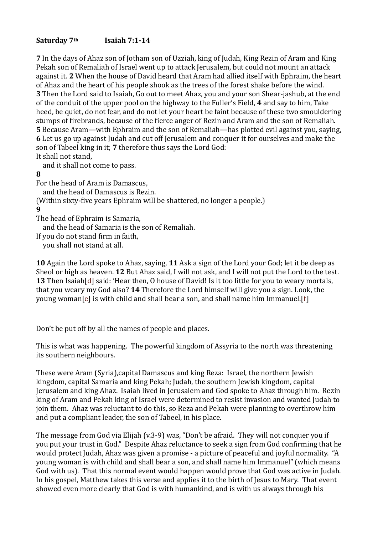# Saturday 7<sup>th</sup> **Isaiah 7:1-14**

**7** In the days of Ahaz son of Jotham son of Uzziah, king of Judah, King Rezin of Aram and King Pekah son of Remaliah of Israel went up to attack Ierusalem, but could not mount an attack against it. 2 When the house of David heard that Aram had allied itself with Ephraim, the heart of Ahaz and the heart of his people shook as the trees of the forest shake before the wind. **3** Then the Lord said to Isaiah, Go out to meet Ahaz, you and your son Shear-jashub, at the end of the conduit of the upper pool on the highway to the Fuller's Field, 4 and say to him, Take heed, be quiet, do not fear, and do not let your heart be faint because of these two smouldering stumps of firebrands, because of the fierce anger of Rezin and Aram and the son of Remaliah. **5** Because Aram—with Ephraim and the son of Remaliah—has plotted evil against vou, saving, **6** Let us go up against Judah and cut off Jerusalem and conquer it for ourselves and make the son of Tabeel king in it; 7 therefore thus says the Lord God: It shall not stand,

and it shall not come to pass.

# **8**

For the head of Aram is Damascus,

and the head of Damascus is Rezin.

(Within sixty-five years Ephraim will be shattered, no longer a people.) **9** 

The head of Ephraim is Samaria,

and the head of Samaria is the son of Remaliah.

If you do not stand firm in faith.

you shall not stand at all.

**10** Again the Lord spoke to Ahaz, saving, **11** Ask a sign of the Lord vour God; let it be deep as Sheol or high as heaven. **12** But Ahaz said, I will not ask, and I will not put the Lord to the test. **13** Then Isaiah[d] said: 'Hear then, O house of David! Is it too little for you to weary mortals, that you weary my God also? **14** Therefore the Lord himself will give you a sign. Look, the young woman[e] is with child and shall bear a son, and shall name him Immanuel.[f]

Don't be put off by all the names of people and places.

This is what was happening. The powerful kingdom of Assyria to the north was threatening its southern neighbours.

These were Aram (Syria),capital Damascus and king Reza: Israel, the northern Jewish kingdom, capital Samaria and king Pekah; Judah, the southern Jewish kingdom, capital Jerusalem and king Ahaz. Isaiah lived in Jerusalem and God spoke to Ahaz through him. Rezin king of Aram and Pekah king of Israel were determined to resist invasion and wanted Judah to join them. Ahaz was reluctant to do this, so Reza and Pekah were planning to overthrow him and put a compliant leader, the son of Tabeel, in his place.

The message from God via Elijah  $(v.3-9)$  was, "Don't be afraid. They will not conquer you if you put your trust in God." Despite Ahaz reluctance to seek a sign from God confirming that he would protect Judah, Ahaz was given a promise - a picture of peaceful and joyful normality. "A young woman is with child and shall bear a son, and shall name him Immanuel" (which means God with us). That this normal event would happen would prove that God was active in Judah. In his gospel, Matthew takes this verse and applies it to the birth of Jesus to Mary. That event showed even more clearly that God is with humankind, and is with us always through his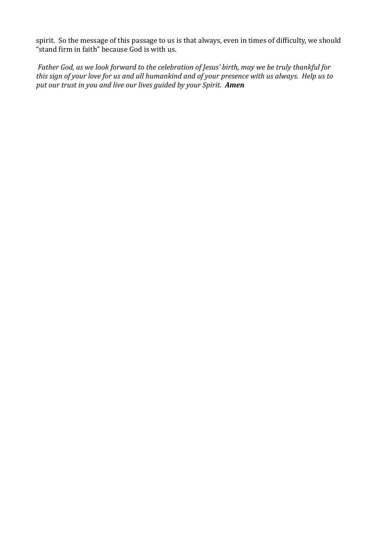spirit. So the message of this passage to us is that always, even in times of difficulty, we should " $\frac{1}{2}$ " stand firm in faith" because God is with us.

*Father God, as we look forward to the celebration of Jesus' birth, may we be truly thankful for* this sign of your love for us and all humankind and of your presence with us always. Help us to *put our trust in you and live our lives guided by your Spirit.* Amen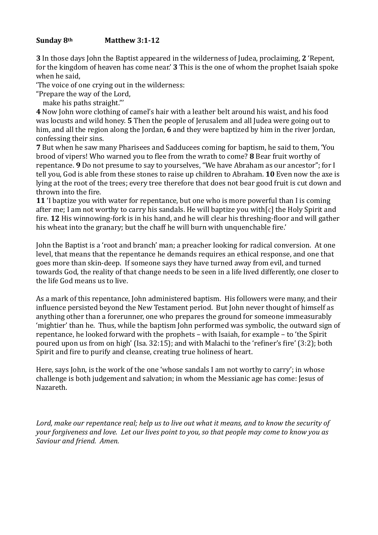#### **Sunday 8th Matthew 3:1-12**

**3** In those days John the Baptist appeared in the wilderness of Judea, proclaiming, 2 'Repent, for the kingdom of heaven has come near.' **3** This is the one of whom the prophet Isaiah spoke when he said.

The voice of one crying out in the wilderness:

"Prepare the way of the Lord,

make his paths straight."'

**4** Now John wore clothing of camel's hair with a leather belt around his waist, and his food was locusts and wild honey. **5** Then the people of Jerusalem and all Judea were going out to him, and all the region along the Jordan, 6 and they were baptized by him in the river Jordan, confessing their sins.

**7** But when he saw many Pharisees and Sadducees coming for baptism, he said to them, 'You brood of vipers! Who warned you to flee from the wrath to come? **8** Bear fruit worthy of repentance. **9** Do not presume to say to yourselves, "We have Abraham as our ancestor"; for I tell you, God is able from these stones to raise up children to Abraham. **10** Even now the axe is lying at the root of the trees; every tree therefore that does not bear good fruit is cut down and thrown into the fire.

**11** T baptize you with water for repentance, but one who is more powerful than I is coming after me; I am not worthy to carry his sandals. He will baptize you with  $[c]$  the Holy Spirit and fire. 12 His winnowing-fork is in his hand, and he will clear his threshing-floor and will gather his wheat into the granary; but the chaff he will burn with unquenchable fire.'

John the Baptist is a 'root and branch' man; a preacher looking for radical conversion. At one level, that means that the repentance he demands requires an ethical response, and one that goes more than skin-deep. If someone says they have turned away from evil, and turned towards God, the reality of that change needs to be seen in a life lived differently, one closer to the life God means us to live.

As a mark of this repentance, John administered baptism. His followers were many, and their influence persisted beyond the New Testament period. But John never thought of himself as anything other than a forerunner, one who prepares the ground for someone immeasurably 'mightier' than he. Thus, while the baptism John performed was symbolic, the outward sign of repentance, he looked forward with the prophets – with Isaiah, for example – to 'the Spirit poured upon us from on high' (Isa.  $32:15$ ); and with Malachi to the 'refiner's fire' (3:2); both Spirit and fire to purify and cleanse, creating true holiness of heart.

Here, says John, is the work of the one 'whose sandals I am not worthy to carry'; in whose challenge is both judgement and salvation; in whom the Messianic age has come: Jesus of Nazareth. 

Lord, make our repentance real; help us to live out what it means, and to know the security of *your forgiveness and love. Let our lives point to you, so that people may come to know you as* Saviour and friend. Amen.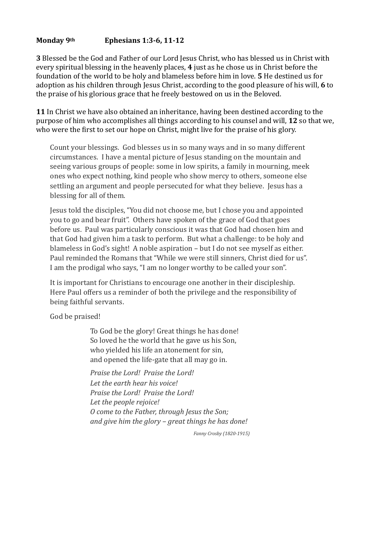### Monday 9<sup>th</sup> Ephesians 1:3-6, 11-12

**3** Blessed be the God and Father of our Lord Jesus Christ, who has blessed us in Christ with every spiritual blessing in the heavenly places, 4 just as he chose us in Christ before the foundation of the world to be holy and blameless before him in love. **5** He destined us for adoption as his children through Jesus Christ, according to the good pleasure of his will, 6 to the praise of his glorious grace that he freely bestowed on us in the Beloved.

**11** In Christ we have also obtained an inheritance, having been destined according to the purpose of him who accomplishes all things according to his counsel and will, 12 so that we, who were the first to set our hope on Christ, might live for the praise of his glory.

Count your blessings. God blesses us in so many ways and in so many different circumstances. I have a mental picture of Jesus standing on the mountain and seeing various groups of people: some in low spirits, a family in mourning, meek ones who expect nothing, kind people who show mercy to others, someone else settling an argument and people persecuted for what they believe. Jesus has a blessing for all of them.

Jesus told the disciples, "You did not choose me, but I chose you and appointed you to go and bear fruit". Others have spoken of the grace of God that goes before us. Paul was particularly conscious it was that God had chosen him and that God had given him a task to perform. But what a challenge: to be holy and blameless in God's sight! A noble aspiration  $-$  but I do not see myself as either. Paul reminded the Romans that "While we were still sinners, Christ died for us". I am the prodigal who says, "I am no longer worthy to be called your son".

It is important for Christians to encourage one another in their discipleship. Here Paul offers us a reminder of both the privilege and the responsibility of being faithful servants.

God be praised!

To God be the glory! Great things he has done! So loved he the world that he gave us his Son, who yielded his life an atonement for sin, and opened the life-gate that all may go in.

*Praise the Lord! Praise the Lord!* Let the earth hear his voice! Praise the Lord! Praise the Lord! Let the people rejoice! *O come to the Father, through Jesus the Son;* and give him the glory – great things he has done!

*Fanny Crosby (1820-1915)*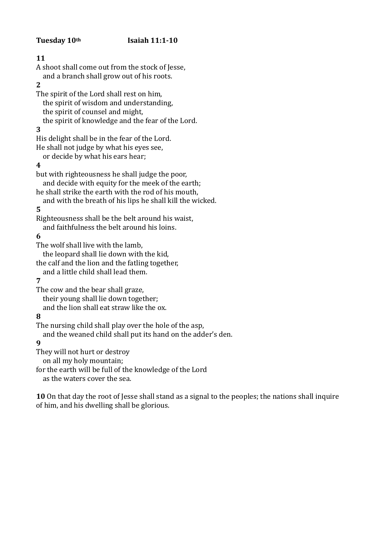#### Tuesday 10<sup>th</sup> **Isaiah 11:1-10**

**11**  A shoot shall come out from the stock of Jesse. and a branch shall grow out of his roots. **2**  The spirit of the Lord shall rest on him, the spirit of wisdom and understanding. the spirit of counsel and might, the spirit of knowledge and the fear of the Lord. **3**  His delight shall be in the fear of the Lord. He shall not judge by what his eyes see, or decide by what his ears hear; **4**  but with righteousness he shall judge the poor, and decide with equity for the meek of the earth; he shall strike the earth with the rod of his mouth, and with the breath of his lips he shall kill the wicked. **5**  Righteousness shall be the belt around his waist, and faithfulness the belt around his loins. **6**  The wolf shall live with the lamb, the leopard shall lie down with the kid, the calf and the lion and the fatling together. and a little child shall lead them. **7**  The cow and the bear shall graze. their young shall lie down together; and the lion shall eat straw like the ox.

# **8**

The nursing child shall play over the hole of the asp.

and the weaned child shall put its hand on the adder's den.

# **9**

They will not hurt or destroy

on all my holy mountain;

for the earth will be full of the knowledge of the Lord

as the waters cover the sea.

**10** On that day the root of Jesse shall stand as a signal to the peoples; the nations shall inquire of him, and his dwelling shall be glorious.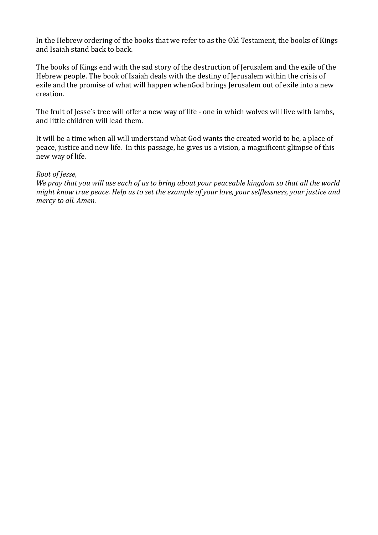In the Hebrew ordering of the books that we refer to as the Old Testament, the books of Kings and Isaiah stand back to back.

The books of Kings end with the sad story of the destruction of Jerusalem and the exile of the Hebrew people. The book of Isaiah deals with the destiny of Jerusalem within the crisis of exile and the promise of what will happen whenGod brings Jerusalem out of exile into a new creation. 

The fruit of Jesse's tree will offer a new way of life - one in which wolves will live with lambs, and little children will lead them.

It will be a time when all will understand what God wants the created world to be, a place of peace, justice and new life. In this passage, he gives us a vision, a magnificent glimpse of this new way of life.

#### *Root of Jesse,*

We pray that you will use each of us to bring about your peaceable kingdom so that all the world *might know true peace. Help us to set the example of your love, your selflessness, your justice and mercy to all. Amen.*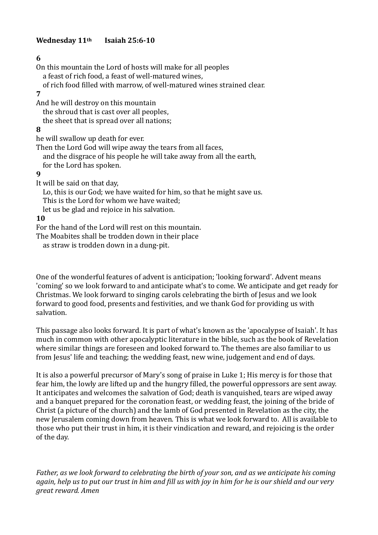#### Wednesday 11<sup>th</sup> Isaiah 25:6-10

#### **6**

a feast of rich food, a feast of well-matured wines, of rich food filled with marrow, of well-matured wines strained clear. **7**  And he will destroy on this mountain the shroud that is cast over all peoples. the sheet that is spread over all nations; **8**  he will swallow up death for ever. Then the Lord God will wipe away the tears from all faces, and the disgrace of his people he will take away from all the earth, for the Lord has spoken. **9** It will be said on that day, Lo, this is our God; we have waited for him, so that he might save us. This is the Lord for whom we have waited; let us be glad and rejoice in his salvation. **10**  For the hand of the Lord will rest on this mountain.

On this mountain the Lord of hosts will make for all peoples

The Moabites shall be trodden down in their place

as straw is trodden down in a dung-pit.

One of the wonderful features of advent is anticipation; 'looking forward'. Advent means 'coming' so we look forward to and anticipate what's to come. We anticipate and get ready for Christmas. We look forward to singing carols celebrating the birth of Jesus and we look forward to good food, presents and festivities, and we thank God for providing us with salvation. 

This passage also looks forward. It is part of what's known as the 'apocalypse of Isaiah'. It has much in common with other apocalyptic literature in the bible, such as the book of Revelation where similar things are foreseen and looked forward to. The themes are also familiar to us from Jesus' life and teaching; the wedding feast, new wine, judgement and end of days.

It is also a powerful precursor of Mary's song of praise in Luke 1; His mercy is for those that fear him, the lowly are lifted up and the hungry filled, the powerful oppressors are sent away. It anticipates and welcomes the salvation of God; death is vanquished, tears are wiped away and a banquet prepared for the coronation feast, or wedding feast, the joining of the bride of Christ (a picture of the church) and the lamb of God presented in Revelation as the city, the new Jerusalem coming down from heaven. This is what we look forward to. All is available to those who put their trust in him, it is their vindication and reward, and rejoicing is the order of the day.

*Father,* as we look forward to celebrating the birth of your son, and as we anticipate his coming again, help us to put our trust in him and fill us with joy in him for he is our shield and our very *great reward. Amen*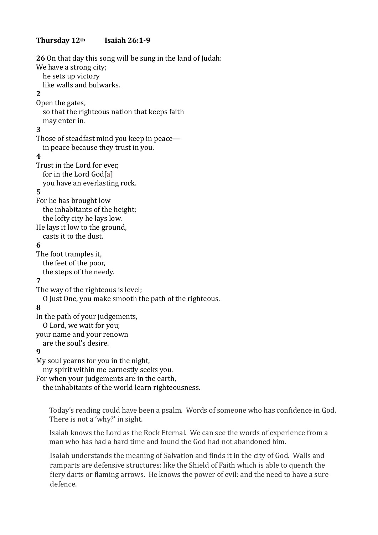#### Thursday 12<sup>th</sup> Isaiah 26:1-9

**26** On that day this song will be sung in the land of Judah: We have a strong city: he sets up victory like walls and bulwarks. **2**  Open the gates, so that the righteous nation that keeps faith may enter in. **3**  Those of steadfast mind you keep in peace in peace because they trust in you. **4**  Trust in the Lord for ever, for in the Lord God[a] you have an everlasting rock. **5**  For he has brought low the inhabitants of the height: the lofty city he lays low. He lays it low to the ground, casts it to the dust. **6**  The foot tramples it. the feet of the poor, the steps of the needy. **7**  The way of the righteous is level: O Just One, you make smooth the path of the righteous. **8**  In the path of your judgements, O Lord, we wait for you; your name and your renown are the soul's desire. **9** My soul yearns for you in the night, my spirit within me earnestly seeks you. For when your judgements are in the earth, the inhabitants of the world learn righteousness.

Today's reading could have been a psalm. Words of someone who has confidence in God. There is not a 'why?' in sight.

Isaiah knows the Lord as the Rock Eternal. We can see the words of experience from a man who has had a hard time and found the God had not abandoned him.

Isaiah understands the meaning of Salvation and finds it in the city of God. Walls and ramparts are defensive structures: like the Shield of Faith which is able to quench the fiery darts or flaming arrows. He knows the power of evil: and the need to have a sure defence.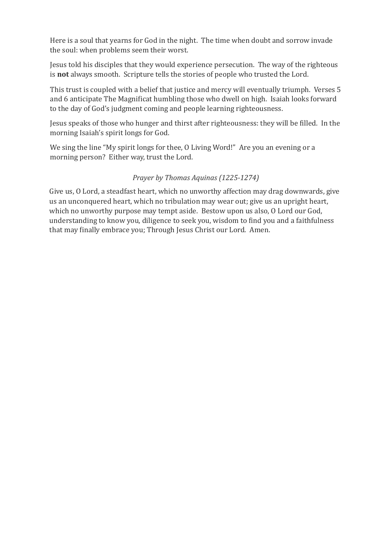Here is a soul that yearns for God in the night. The time when doubt and sorrow invade the soul: when problems seem their worst.

Jesus told his disciples that they would experience persecution. The way of the righteous is **not** always smooth. Scripture tells the stories of people who trusted the Lord.

This trust is coupled with a belief that justice and mercy will eventually triumph. Verses 5 and 6 anticipate The Magnificat humbling those who dwell on high. Isaiah looks forward to the day of God's judgment coming and people learning righteousness.

Jesus speaks of those who hunger and thirst after righteousness: they will be filled. In the morning Isaiah's spirit longs for God.

We sing the line "My spirit longs for thee, O Living Word!" Are you an evening or a morning person? Either way, trust the Lord.

# *Prayer by Thomas Aquinas (1225-1274)*

Give us, O Lord, a steadfast heart, which no unworthy affection may drag downwards, give us an unconquered heart, which no tribulation may wear out; give us an upright heart, which no unworthy purpose may tempt aside. Bestow upon us also, O Lord our God, understanding to know you, diligence to seek you, wisdom to find you and a faithfulness that may finally embrace you; Through Jesus Christ our Lord. Amen.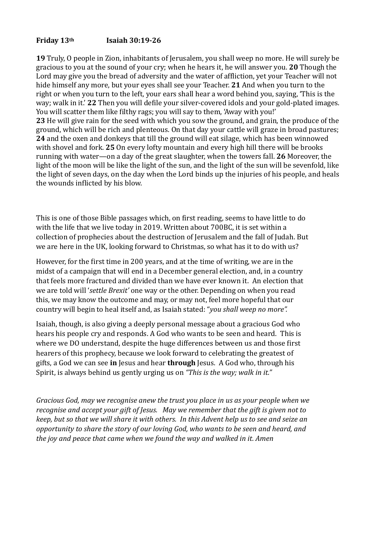#### **Friday 13th Isaiah 30:19-26**

**19** Truly, O people in Zion, inhabitants of Jerusalem, you shall weep no more. He will surely be gracious to you at the sound of your cry; when he hears it, he will answer you. **20** Though the Lord may give you the bread of adversity and the water of affliction, yet your Teacher will not hide himself any more, but your eyes shall see your Teacher. 21 And when you turn to the right or when you turn to the left, your ears shall hear a word behind you, saying, 'This is the way; walk in it.' 22 Then you will defile your silver-covered idols and your gold-plated images. You will scatter them like filthy rags; you will say to them, 'Away with you!' **23** He will give rain for the seed with which you sow the ground, and grain, the produce of the ground, which will be rich and plenteous. On that day your cattle will graze in broad pastures; **24** and the oxen and donkeys that till the ground will eat silage, which has been winnowed with shovel and fork. 25 On every lofty mountain and every high hill there will be brooks running with water—on a day of the great slaughter, when the towers fall. 26 Moreover, the light of the moon will be like the light of the sun, and the light of the sun will be sevenfold, like the light of seven days, on the day when the Lord binds up the injuries of his people, and heals the wounds inflicted by his blow.

This is one of those Bible passages which, on first reading, seems to have little to do with the life that we live today in 2019. Written about 700BC, it is set within a collection of prophecies about the destruction of Jerusalem and the fall of Judah. But we are here in the UK, looking forward to Christmas, so what has it to do with us?

However, for the first time in 200 years, and at the time of writing, we are in the midst of a campaign that will end in a December general election, and, in a country that feels more fractured and divided than we have ever known it. An election that we are told will 'settle Brexit' one way or the other. Depending on when you read this, we may know the outcome and may, or may not, feel more hopeful that our country will begin to heal itself and, as Isaiah stated: "*you shall weep no more".* 

Isaiah, though, is also giving a deeply personal message about a gracious God who hears his people cry and responds. A God who wants to be seen and heard. This is where we DO understand, despite the huge differences between us and those first hearers of this prophecy, because we look forward to celebrating the greatest of gifts, a God we can see in Jesus and hear through Jesus. A God who, through his Spirit, is always behind us gently urging us on "This is the way; walk in it."

*Gracious God, may we recognise anew the trust you place in us as your people when we recognise and accept your gift of Jesus. May we remember that the gift is given not to keep, but so that we will share it with others. In this Advent help us to see and seize an opportunity to share the story of our loving God, who wants to be seen and heard, and the joy and peace that came when we found the way and walked in it. Amen*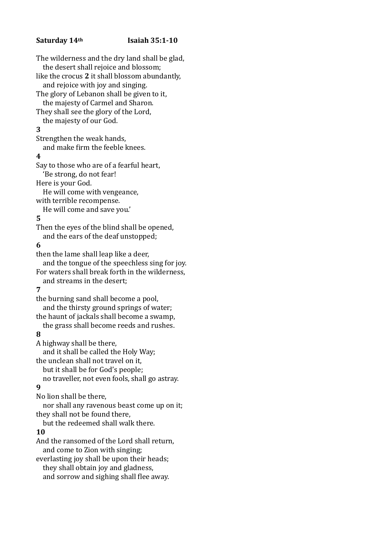#### Saturday 14<sup>th</sup> **Isaiah** 35:1-10

The wilderness and the dry land shall be glad, the desert shall rejoice and blossom: like the crocus 2 it shall blossom abundantly, and rejoice with joy and singing.

The glory of Lebanon shall be given to it, the majesty of Carmel and Sharon.

They shall see the glory of the Lord, the majesty of our God.

#### **3**

Strengthen the weak hands,

and make firm the feeble knees.

#### **4**

Say to those who are of a fearful heart, 'Be strong, do not fear!

Here is your God.

He will come with vengeance,

with terrible recompense.

He will come and save you.'

# **5**

Then the eyes of the blind shall be opened, and the ears of the deaf unstopped;

#### **6**

then the lame shall leap like a deer, and the tongue of the speechless sing for joy. For waters shall break forth in the wilderness, and streams in the desert; **7**  the burning sand shall become a pool, and the thirsty ground springs of water; the haunt of jackals shall become a swamp, the grass shall become reeds and rushes. **8**  A highway shall be there,

and it shall be called the Holy Way; the unclean shall not travel on it,

but it shall be for God's people;

no traveller, not even fools, shall go astray.

#### **9**

No lion shall be there,

nor shall any ravenous beast come up on it; they shall not be found there,

but the redeemed shall walk there.

#### **10**

And the ransomed of the Lord shall return, and come to Zion with singing;

everlasting joy shall be upon their heads;

they shall obtain joy and gladness,

and sorrow and sighing shall flee away.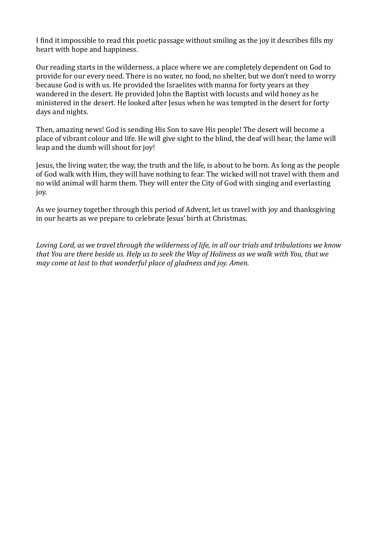I find it impossible to read this poetic passage without smiling as the joy it describes fills my heart with hope and happiness.

Our reading starts in the wilderness, a place where we are completely dependent on God to provide for our every need. There is no water, no food, no shelter, but we don't need to worry because God is with us. He provided the Israelites with manna for forty years as they wandered in the desert. He provided John the Baptist with locusts and wild honey as he ministered in the desert. He looked after Jesus when he was tempted in the desert for forty days and nights.

Then, amazing news! God is sending His Son to save His people! The desert will become a place of vibrant colour and life. He will give sight to the blind, the deaf will hear, the lame will leap and the dumb will shout for joy!

Jesus, the living water, the way, the truth and the life, is about to be born. As long as the people of God walk with Him, they will have nothing to fear. The wicked will not travel with them and no wild animal will harm them. They will enter the City of God with singing and everlasting joy. 

As we journey together through this period of Advent, let us travel with joy and thanksgiving in our hearts as we prepare to celebrate Jesus' birth at Christmas.

Loving Lord, as we travel through the wilderness of life, in all our trials and tribulations we know that You are there beside us. Help us to seek the Way of Holiness as we walk with You, that we *may come at last to that wonderful place of gladness and joy. Amen.*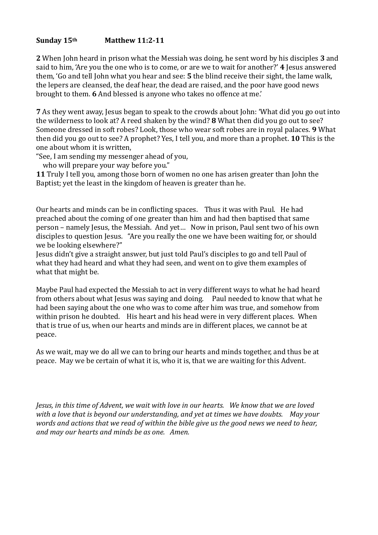#### Sunday 15<sup>th</sup> Matthew 11:2-11

**2** When John heard in prison what the Messiah was doing, he sent word by his disciples **3** and said to him, 'Are you the one who is to come, or are we to wait for another?' 4 lesus answered them, 'Go and tell John what you hear and see: **5** the blind receive their sight, the lame walk, the lepers are cleansed, the deaf hear, the dead are raised, and the poor have good news brought to them. 6 And blessed is anyone who takes no offence at me.'

**7** As they went away, Jesus began to speak to the crowds about John: 'What did you go out into the wilderness to look at? A reed shaken by the wind? **8** What then did you go out to see? Someone dressed in soft robes? Look, those who wear soft robes are in royal palaces. **9** What then did you go out to see? A prophet? Yes, I tell you, and more than a prophet. **10** This is the one about whom it is written,

"See, I am sending my messenger ahead of you,

who will prepare your way before you."

**11** Truly I tell you, among those born of women no one has arisen greater than John the Baptist; yet the least in the kingdom of heaven is greater than he.

Our hearts and minds can be in conflicting spaces. Thus it was with Paul. He had preached about the coming of one greater than him and had then baptised that same person – namely Jesus, the Messiah. And yet... Now in prison, Paul sent two of his own disciples to question Jesus. "Are you really the one we have been waiting for, or should we be looking elsewhere?"

Jesus didn't give a straight answer, but just told Paul's disciples to go and tell Paul of what they had heard and what they had seen, and went on to give them examples of what that might be.

Maybe Paul had expected the Messiah to act in very different ways to what he had heard from others about what Jesus was saying and doing. Paul needed to know that what he had been saying about the one who was to come after him was true, and somehow from within prison he doubted. His heart and his head were in very different places. When that is true of us, when our hearts and minds are in different places, we cannot be at peace. 

As we wait, may we do all we can to bring our hearts and minds together, and thus be at peace. May we be certain of what it is, who it is, that we are waiting for this Advent.

*Jesus, in this time of Advent, we wait with love in our hearts. We know that we are loved* with a love that is beyond our understanding, and yet at times we have doubts. May your *words and actions that we read of within the bible give us the good news we need to hear,* and may our hearts and minds be as one. Amen.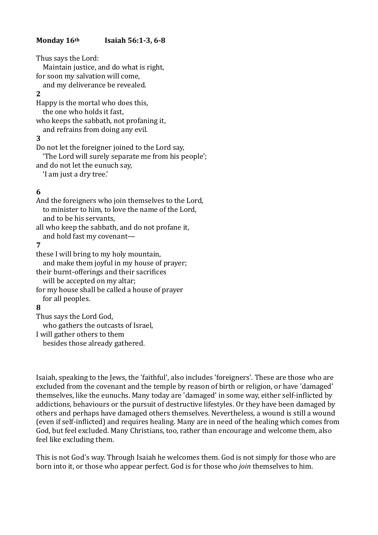#### **Monday 16th Isaiah 56:1-3, 6-8**

Thus says the Lord: Maintain justice, and do what is right. for soon my salvation will come. and my deliverance be revealed. **2**  Happy is the mortal who does this. the one who holds it fast, who keeps the sabbath, not profaning it, and refrains from doing any evil. **3**  Do not let the foreigner joined to the Lord say, 'The Lord will surely separate me from his people'; and do not let the eunuch say,

'I am just a dry tree.'

# **6**

And the foreigners who join themselves to the Lord, to minister to him, to love the name of the Lord. and to be his servants, all who keep the sabbath, and do not profane it, and hold fast my covenant-**7**  these I will bring to my holy mountain, and make them joyful in my house of prayer; their burnt-offerings and their sacrifices will be accepted on my altar; for my house shall be called a house of prayer for all peoples. **8**  Thus says the Lord God, who gathers the outcasts of Israel,

I will gather others to them besides those already gathered.

Isaiah, speaking to the Jews, the 'faithful', also includes 'foreigners'. These are those who are excluded from the covenant and the temple by reason of birth or religion, or have 'damaged' themselves, like the eunuchs. Many today are 'damaged' in some way, either self-inflicted by addictions, behaviours or the pursuit of destructive lifestyles. Or they have been damaged by others and perhaps have damaged others themselves. Nevertheless, a wound is still a wound (even if self-inflicted) and requires healing. Many are in need of the healing which comes from God, but feel excluded. Many Christians, too, rather than encourage and welcome them, also feel like excluding them.

This is not God's way. Through Isaiah he welcomes them. God is not simply for those who are born into it, or those who appear perfect. God is for those who *join* themselves to him.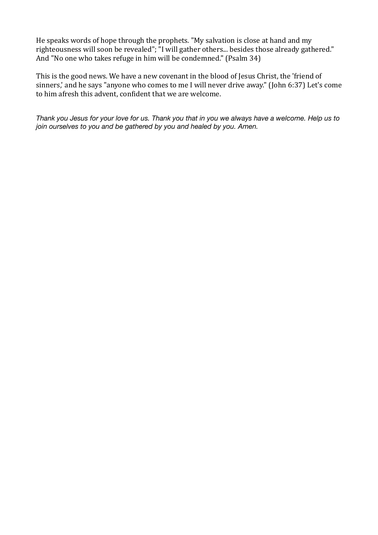He speaks words of hope through the prophets. "My salvation is close at hand and my righteousness will soon be revealed"; "I will gather others... besides those already gathered." And "No one who takes refuge in him will be condemned." (Psalm 34)

This is the good news. We have a new covenant in the blood of Jesus Christ, the 'friend of sinners,' and he says "anyone who comes to me I will never drive away." (John 6:37) Let's come to him afresh this advent, confident that we are welcome.

*Thank you Jesus for your love for us. Thank you that in you we always have a welcome. Help us to join ourselves to you and be gathered by you and healed by you. Amen.*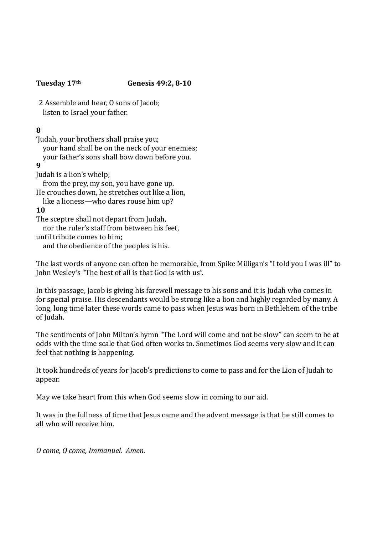#### **Tuesday 17th Genesis 49:2, 8-10**

2 Assemble and hear, O sons of Jacob: listen to Israel your father.

# **8**

'Judah, your brothers shall praise you; your hand shall be on the neck of your enemies; your father's sons shall bow down before you. **9** Judah is a lion's whelp; from the prey, my son, you have gone up. He crouches down, he stretches out like a lion, like a lioness—who dares rouse him up? **10** The sceptre shall not depart from Judah. nor the ruler's staff from between his feet. until tribute comes to him: and the obedience of the peoples is his.

The last words of anyone can often be memorable, from Spike Milligan's "I told you I was ill" to John Wesley's "The best of all is that God is with us".

In this passage, Jacob is giving his farewell message to his sons and it is Judah who comes in for special praise. His descendants would be strong like a lion and highly regarded by many. A long, long time later these words came to pass when Jesus was born in Bethlehem of the tribe of Iudah.

The sentiments of John Milton's hymn "The Lord will come and not be slow" can seem to be at odds with the time scale that God often works to. Sometimes God seems very slow and it can feel that nothing is happening.

It took hundreds of years for Jacob's predictions to come to pass and for the Lion of Judah to appear. 

May we take heart from this when God seems slow in coming to our aid.

It was in the fullness of time that Jesus came and the advent message is that he still comes to all who will receive him.

*O come, O come, Immanuel. Amen.*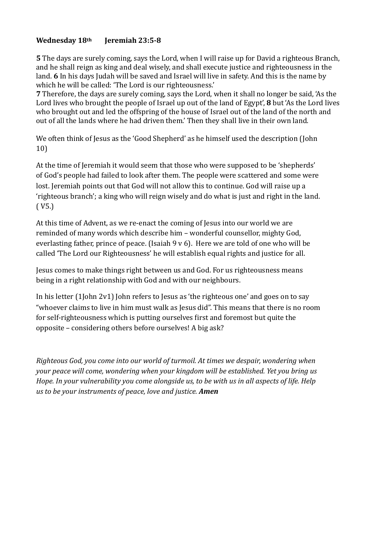# Wednesday 18<sup>th</sup> Jeremiah 23:5-8

**5** The days are surely coming, says the Lord, when I will raise up for David a righteous Branch, and he shall reign as king and deal wisely, and shall execute justice and righteousness in the land. **6** In his days Judah will be saved and Israel will live in safety. And this is the name by which he will be called: 'The Lord is our righteousness.'

**7** Therefore, the days are surely coming, says the Lord, when it shall no longer be said, 'As the Lord lives who brought the people of Israel up out of the land of Egypt', **8** but 'As the Lord lives who brought out and led the offspring of the house of Israel out of the land of the north and out of all the lands where he had driven them.' Then they shall live in their own land.

We often think of Jesus as the 'Good Shepherd' as he himself used the description (John 10) 

At the time of Jeremiah it would seem that those who were supposed to be 'shepherds' of God's people had failed to look after them. The people were scattered and some were lost. Jeremiah points out that God will not allow this to continue. God will raise up a 'righteous branch'; a king who will reign wisely and do what is just and right in the land.  $(V5.)$ 

At this time of Advent, as we re-enact the coming of Jesus into our world we are reminded of many words which describe him – wonderful counsellor, mighty God, everlasting father, prince of peace. (Isaiah  $9 \text{ v } 6$ ). Here we are told of one who will be called 'The Lord our Righteousness' he will establish equal rights and justice for all.

Jesus comes to make things right between us and God. For us righteousness means being in a right relationship with God and with our neighbours.

In his letter  $(1]$ ohn  $2v1$  John refers to Jesus as 'the righteous one' and goes on to say "whoever claims to live in him must walk as Jesus did". This means that there is no room for self-righteousness which is putting ourselves first and foremost but quite the opposite – considering others before ourselves! A big ask?

*Righteous God, you come into our world of turmoil. At times we despair, wondering when your peace will come, wondering when your kingdom will be established. Yet you bring us Hope. In your vulnerability you come alongside us, to be with us in all aspects of life. Help us* to be your instruments of peace, love and justice. **Amen**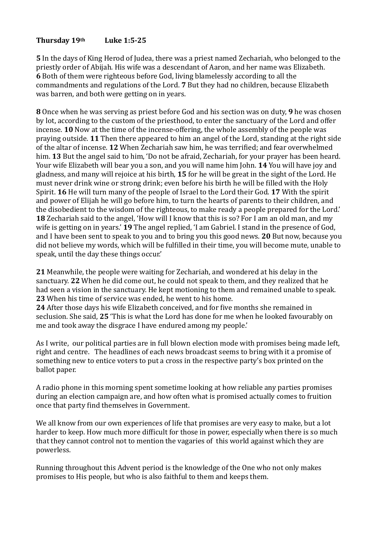# Thursday 19<sup>th</sup> Luke 1:5-25

**5** In the days of King Herod of Judea, there was a priest named Zechariah, who belonged to the priestly order of Abijah. His wife was a descendant of Aaron, and her name was Elizabeth. **6** Both of them were righteous before God, living blamelessly according to all the commandments and regulations of the Lord. 7 But they had no children, because Elizabeth was barren, and both were getting on in years.

**8** Once when he was serving as priest before God and his section was on duty, **9** he was chosen by lot, according to the custom of the priesthood, to enter the sanctuary of the Lord and offer incense. **10** Now at the time of the incense-offering, the whole assembly of the people was praying outside. **11** Then there appeared to him an angel of the Lord, standing at the right side of the altar of incense. 12 When Zechariah saw him, he was terrified; and fear overwhelmed him. 13 But the angel said to him, 'Do not be afraid, Zechariah, for your prayer has been heard. Your wife Elizabeth will bear you a son, and you will name him John. **14** You will have joy and gladness, and many will rejoice at his birth, **15** for he will be great in the sight of the Lord. He must never drink wine or strong drink; even before his birth he will be filled with the Holy Spirit. **16** He will turn many of the people of Israel to the Lord their God. **17** With the spirit and power of Elijah he will go before him, to turn the hearts of parents to their children, and the disobedient to the wisdom of the righteous, to make ready a people prepared for the Lord.' **18** Zechariah said to the angel, 'How will I know that this is so? For I am an old man, and my wife is getting on in years.' **19** The angel replied, 'I am Gabriel. I stand in the presence of God, and I have been sent to speak to you and to bring you this good news. **20** But now, because you did not believe my words, which will be fulfilled in their time, you will become mute, unable to speak, until the day these things occur.'

**21** Meanwhile, the people were waiting for Zechariah, and wondered at his delay in the sanctuary. 22 When he did come out, he could not speak to them, and they realized that he had seen a vision in the sanctuary. He kept motioning to them and remained unable to speak. **23** When his time of service was ended, he went to his home.

**24** After those days his wife Elizabeth conceived, and for five months she remained in seclusion. She said, 25 'This is what the Lord has done for me when he looked favourably on me and took away the disgrace I have endured among my people.'

As I write, our political parties are in full blown election mode with promises being made left, right and centre. The headlines of each news broadcast seems to bring with it a promise of something new to entice voters to put a cross in the respective party's box printed on the ballot paper.

A radio phone in this morning spent sometime looking at how reliable any parties promises during an election campaign are, and how often what is promised actually comes to fruition once that party find themselves in Government.

We all know from our own experiences of life that promises are very easy to make, but a lot harder to keep. How much more difficult for those in power, especially when there is so much that they cannot control not to mention the vagaries of this world against which they are powerless. 

Running throughout this Advent period is the knowledge of the One who not only makes promises to His people, but who is also faithful to them and keeps them.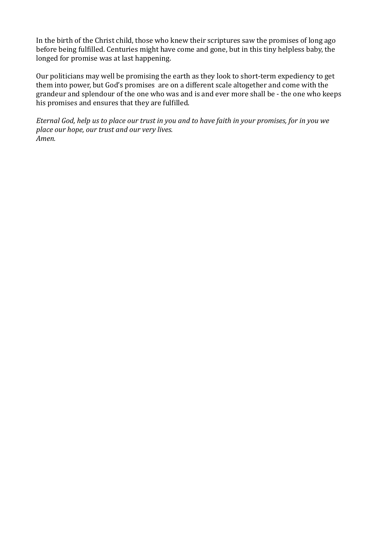In the birth of the Christ child, those who knew their scriptures saw the promises of long ago before being fulfilled. Centuries might have come and gone, but in this tiny helpless baby, the longed for promise was at last happening.

Our politicians may well be promising the earth as they look to short-term expediency to get them into power, but God's promises are on a different scale altogether and come with the grandeur and splendour of the one who was and is and ever more shall be - the one who keeps his promises and ensures that they are fulfilled.

*Eternal God, help us to place our trust in you and to have faith in your promises, for in you we* place our hope, our trust and our very lives. *Amen.*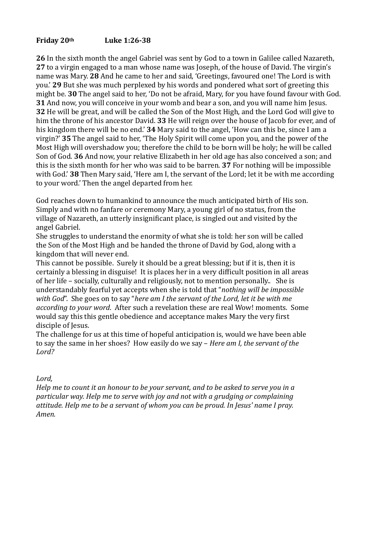# **Friday 20th Luke 1:26-38**

**26** In the sixth month the angel Gabriel was sent by God to a town in Galilee called Nazareth, **27** to a virgin engaged to a man whose name was Joseph, of the house of David. The virgin's name was Mary. 28 And he came to her and said, 'Greetings, favoured one! The Lord is with you.' 29 But she was much perplexed by his words and pondered what sort of greeting this might be. **30** The angel said to her, 'Do not be afraid, Mary, for you have found favour with God. **31** And now, you will conceive in your womb and bear a son, and you will name him Jesus. **32** He will be great, and will be called the Son of the Most High, and the Lord God will give to him the throne of his ancestor David. 33 He will reign over the house of Jacob for ever, and of his kingdom there will be no end.' **34** Mary said to the angel. 'How can this be, since I am a virgin?' **35** The angel said to her, 'The Holy Spirit will come upon you, and the power of the Most High will overshadow you; therefore the child to be born will be holy; he will be called Son of God. 36 And now, your relative Elizabeth in her old age has also conceived a son; and this is the sixth month for her who was said to be barren. **37** For nothing will be impossible with God.' **38** Then Mary said, 'Here am I, the servant of the Lord; let it be with me according to your word.' Then the angel departed from her.

God reaches down to humankind to announce the much anticipated birth of His son. Simply and with no fanfare or ceremony Mary, a young girl of no status, from the village of Nazareth, an utterly insignificant place, is singled out and visited by the angel Gabriel. 

She struggles to understand the enormity of what she is told: her son will be called the Son of the Most High and be handed the throne of David by God, along with a kingdom that will never end.

This cannot be possible. Surely it should be a great blessing: but if it is, then it is certainly a blessing in disguise! It is places her in a very difficult position in all areas of her life – socially, culturally and religiously, not to mention personally.. She is understandably fearful vet accepts when she is told that "*nothing will be impossible* with God". She goes on to say "here am I the servant of the Lord, let it be with me *according to your word.* After such a revelation these are real Wow! moments. Some would say this this gentle obedience and acceptance makes Mary the very first disciple of Jesus.

The challenge for us at this time of hopeful anticipation is, would we have been able to say the same in her shoes? How easily do we say – *Here am I, the servant of the* Lord?

#### Lord,

*Help* me to count it an honour to be your servant, and to be asked to serve you in a *particular way.* Help me to serve with joy and not with a grudging or complaining *attitude.* Help me to be a servant of whom you can be proud. In Jesus' name I pray. *Amen.*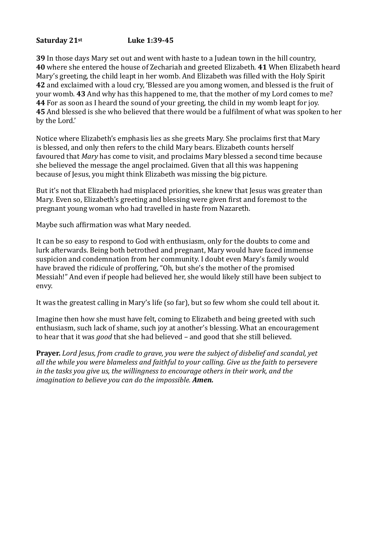# **Saturday 21st** Luke 1:39-45

 In those days Mary set out and went with haste to a Judean town in the hill country, where she entered the house of Zechariah and greeted Elizabeth. **41** When Elizabeth heard Mary's greeting, the child leapt in her womb. And Elizabeth was filled with the Holy Spirit and exclaimed with a loud cry, 'Blessed are you among women, and blessed is the fruit of your womb. **43** And why has this happened to me, that the mother of my Lord comes to me? For as soon as I heard the sound of your greeting, the child in my womb leapt for joy. And blessed is she who believed that there would be a fulfilment of what was spoken to her by the Lord.'

Notice where Elizabeth's emphasis lies as she greets Mary. She proclaims first that Mary is blessed, and only then refers to the child Mary bears. Elizabeth counts herself favoured that *Mary* has come to visit, and proclaims Mary blessed a second time because she believed the message the angel proclaimed. Given that all this was happening because of Jesus, you might think Elizabeth was missing the big picture.

But it's not that Elizabeth had misplaced priorities, she knew that Jesus was greater than Mary. Even so, Elizabeth's greeting and blessing were given first and foremost to the pregnant young woman who had travelled in haste from Nazareth.

Maybe such affirmation was what Mary needed.

It can be so easy to respond to God with enthusiasm, only for the doubts to come and lurk afterwards. Being both betrothed and pregnant, Mary would have faced immense suspicion and condemnation from her community. I doubt even Mary's family would have braved the ridicule of proffering, "Oh, but she's the mother of the promised Messiah!" And even if people had believed her, she would likely still have been subject to envy. 

It was the greatest calling in Mary's life (so far), but so few whom she could tell about it.

Imagine then how she must have felt, coming to Elizabeth and being greeted with such enthusiasm, such lack of shame, such joy at another's blessing. What an encouragement to hear that it was *good* that she had believed – and good that she still believed.

**Prayer.** Lord Jesus, from cradle to grave, you were the subject of disbelief and scandal, yet all the while you were blameless and faithful to your calling. Give us the faith to persevere *in* the tasks you give us, the willingness to encourage others in their work, and the *imagination to believe you can do the impossible. Amen.*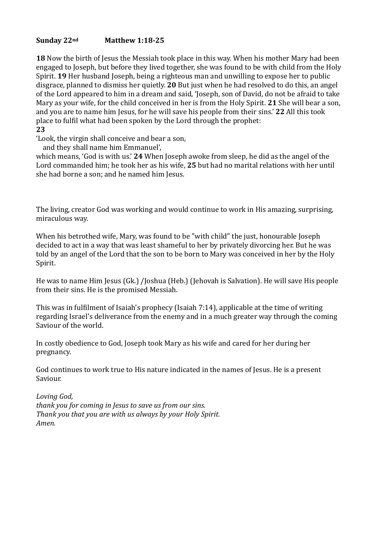#### Sunday 22<sup>nd</sup> Matthew 1:18-25

**18** Now the birth of Jesus the Messiah took place in this way. When his mother Mary had been engaged to Joseph, but before they lived together, she was found to be with child from the Holy Spirit. **19** Her husband Joseph, being a righteous man and unwilling to expose her to public disgrace, planned to dismiss her quietly. 20 But just when he had resolved to do this, an angel of the Lord appeared to him in a dream and said, 'Joseph, son of David, do not be afraid to take Mary as your wife, for the child conceived in her is from the Holy Spirit. 21 She will bear a son, and you are to name him Jesus, for he will save his people from their sins.' 22 All this took place to fulfil what had been spoken by the Lord through the prophet: **23** 

'Look, the virgin shall conceive and bear a son,

and they shall name him Emmanuel',

which means, 'God is with us.' 24 When Joseph awoke from sleep, he did as the angel of the Lord commanded him; he took her as his wife, 25 but had no marital relations with her until she had borne a son; and he named him Jesus.

The living, creator God was working and would continue to work in His amazing, surprising, miraculous way.

When his betrothed wife, Mary, was found to be "with child" the just, honourable Joseph decided to act in a way that was least shameful to her by privately divorcing her. But he was told by an angel of the Lord that the son to be born to Mary was conceived in her by the Holy Spirit. 

He was to name Him Jesus (Gk.) /Joshua (Heb.) (Jehovah is Salvation). He will save His people from their sins. He is the promised Messiah.

This was in fulfilment of Isaiah's prophecy (Isaiah  $7:14$ ), applicable at the time of writing regarding Israel's deliverance from the enemy and in a much greater way through the coming Saviour of the world.

In costly obedience to God, Joseph took Mary as his wife and cared for her during her pregnancy. 

God continues to work true to His nature indicated in the names of Jesus. He is a present Saviour. 

Loving God, *thank* you for coming in Jesus to save us from our sins. Thank you that you are with us always by your Holy Spirit. *Amen.*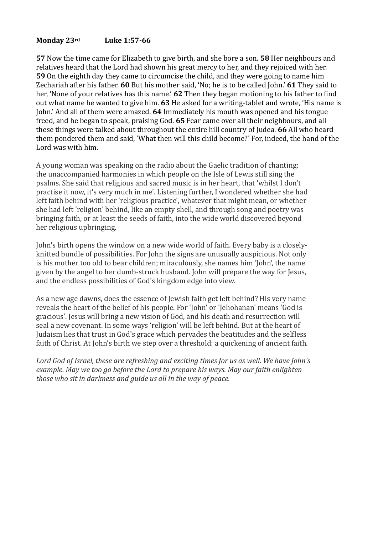# **Monday 23rd** Luke 1:57-66

**57** Now the time came for Elizabeth to give birth, and she bore a son. **58** Her neighbours and relatives heard that the Lord had shown his great mercy to her, and they rejoiced with her. **59** On the eighth day they came to circumcise the child, and they were going to name him Zechariah after his father. **60** But his mother said, 'No; he is to be called John.' **61** They said to her, 'None of your relatives has this name.' 62 Then they began motioning to his father to find out what name he wanted to give him. 63 He asked for a writing-tablet and wrote, 'His name is John.' And all of them were amazed. 64 Immediately his mouth was opened and his tongue freed, and he began to speak, praising God. 65 Fear came over all their neighbours, and all these things were talked about throughout the entire hill country of Judea. **66** All who heard them pondered them and said, 'What then will this child become?' For, indeed, the hand of the Lord was with him.

A young woman was speaking on the radio about the Gaelic tradition of chanting: the unaccompanied harmonies in which people on the Isle of Lewis still sing the psalms. She said that religious and sacred music is in her heart, that 'whilst I don't practise it now, it's very much in me'. Listening further, I wondered whether she had left faith behind with her 'religious practice', whatever that might mean, or whether she had left 'religion' behind, like an empty shell, and through song and poetry was bringing faith, or at least the seeds of faith, into the wide world discovered beyond her religious upbringing.

John's birth opens the window on a new wide world of faith. Every baby is a closelyknitted bundle of possibilities. For John the signs are unusually auspicious. Not only is his mother too old to bear children; miraculously, she names him 'John', the name given by the angel to her dumb-struck husband. John will prepare the way for Jesus, and the endless possibilities of God's kingdom edge into view.

As a new age dawns, does the essence of Jewish faith get left behind? His very name reveals the heart of the belief of his people. For 'John' or 'Jehohanan' means 'God is gracious'. Jesus will bring a new vision of God, and his death and resurrection will seal a new covenant. In some ways 'religion' will be left behind. But at the heart of Judaism lies that trust in God's grace which pervades the beatitudes and the selfless faith of Christ. At John's birth we step over a threshold: a quickening of ancient faith.

Lord God of Israel, these are refreshing and exciting times for us as well. We have John's *example.* May we too go before the Lord to prepare his ways. May our faith enlighten those who sit in darkness and guide us all in the way of peace.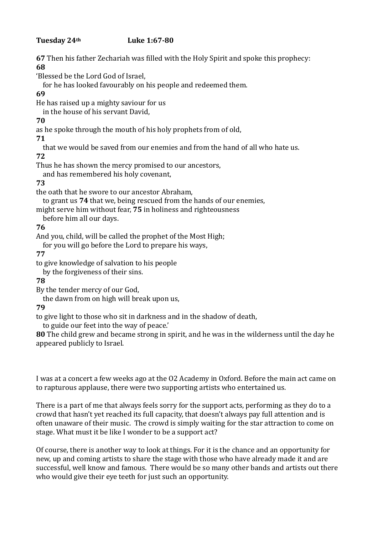# **Tuesday 24th Luke 1:67-80**

**67** Then his father Zechariah was filled with the Holy Spirit and spoke this prophecy: **68** 

'Blessed be the Lord God of Israel.

for he has looked favourably on his people and redeemed them.

# **69**

He has raised up a mighty saviour for us

in the house of his servant David,

# **70**

as he spoke through the mouth of his holy prophets from of old.

**71** 

that we would be saved from our enemies and from the hand of all who hate us. **72** 

Thus he has shown the mercy promised to our ancestors,

and has remembered his holy covenant,

# **73**

the oath that he swore to our ancestor Abraham.

to grant us **74** that we, being rescued from the hands of our enemies,

might serve him without fear, **75** in holiness and righteousness

before him all our days.

# **76**

And you, child, will be called the prophet of the Most High:

for you will go before the Lord to prepare his ways.

# **77**

to give knowledge of salvation to his people

by the forgiveness of their sins.

# **78**

By the tender mercy of our God.

the dawn from on high will break upon us,

# **79**

to give light to those who sit in darkness and in the shadow of death,

to guide our feet into the way of peace.'

**80** The child grew and became strong in spirit, and he was in the wilderness until the day he appeared publicly to Israel.

I was at a concert a few weeks ago at the O2 Academy in Oxford. Before the main act came on to rapturous applause, there were two supporting artists who entertained us.

There is a part of me that always feels sorry for the support acts, performing as they do to a crowd that hasn't yet reached its full capacity, that doesn't always pay full attention and is often unaware of their music. The crowd is simply waiting for the star attraction to come on stage. What must it be like I wonder to be a support act?

Of course, there is another way to look at things. For it is the chance and an opportunity for new, up and coming artists to share the stage with those who have already made it and are successful, well know and famous. There would be so many other bands and artists out there who would give their eye teeth for just such an opportunity.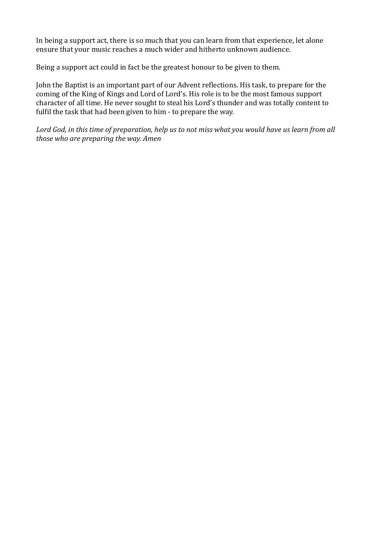In being a support act, there is so much that you can learn from that experience, let alone ensure that your music reaches a much wider and hitherto unknown audience.

Being a support act could in fact be the greatest honour to be given to them.

John the Baptist is an important part of our Advent reflections. His task, to prepare for the coming of the King of Kings and Lord of Lord's. His role is to be the most famous support character of all time. He never sought to steal his Lord's thunder and was totally content to fulfil the task that had been given to him - to prepare the way.

Lord God, in this time of preparation, help us to not miss what you would have us learn from all *those who are preparing the way. Amen*